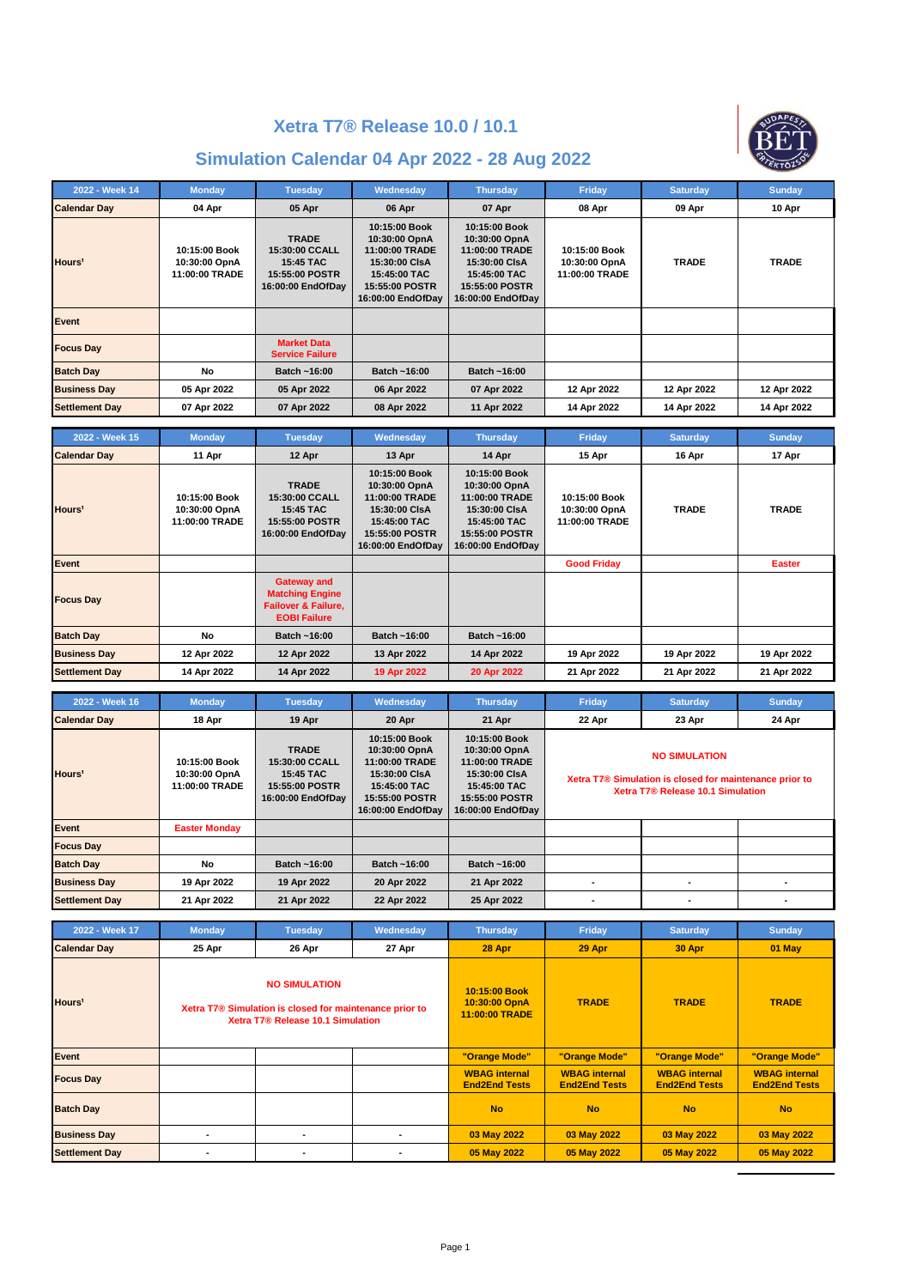



| 2022 - Week 14        | <b>Monday</b>                                    | <b>Tuesday</b>                                                                     | Wednesday                                                                                                                | <b>Thursday</b>                                                                                                          | Friday                                           | <b>Saturday</b> | <b>Sunday</b> |
|-----------------------|--------------------------------------------------|------------------------------------------------------------------------------------|--------------------------------------------------------------------------------------------------------------------------|--------------------------------------------------------------------------------------------------------------------------|--------------------------------------------------|-----------------|---------------|
| <b>Calendar Day</b>   | 04 Apr                                           | 05 Apr                                                                             | 06 Apr                                                                                                                   | 07 Apr                                                                                                                   | 08 Apr                                           | 09 Apr          | 10 Apr        |
| Hours <sup>1</sup>    | 10:15:00 Book<br>10:30:00 OpnA<br>11:00:00 TRADE | <b>TRADE</b><br>15:30:00 CCALL<br>15:45 TAC<br>15:55:00 POSTR<br>16:00:00 EndOfDay | 10:15:00 Book<br>10:30:00 OpnA<br>11:00:00 TRADE<br>15:30:00 CIsA<br>15:45:00 TAC<br>15:55:00 POSTR<br>16:00:00 EndOfDay | 10:15:00 Book<br>10:30:00 OpnA<br>11:00:00 TRADE<br>15:30:00 CIsA<br>15:45:00 TAC<br>15:55:00 POSTR<br>16:00:00 EndOfDay | 10:15:00 Book<br>10:30:00 OpnA<br>11:00:00 TRADE | <b>TRADE</b>    | <b>TRADE</b>  |
| Event                 |                                                  |                                                                                    |                                                                                                                          |                                                                                                                          |                                                  |                 |               |
| <b>Focus Day</b>      |                                                  | <b>Market Data</b><br><b>Service Failure</b>                                       |                                                                                                                          |                                                                                                                          |                                                  |                 |               |
| <b>Batch Day</b>      | No                                               | Batch ~16:00                                                                       | Batch ~16:00                                                                                                             | Batch ~16:00                                                                                                             |                                                  |                 |               |
| <b>Business Day</b>   | 05 Apr 2022                                      | 05 Apr 2022                                                                        | 06 Apr 2022                                                                                                              | 07 Apr 2022                                                                                                              | 12 Apr 2022                                      | 12 Apr 2022     | 12 Apr 2022   |
| <b>Settlement Day</b> | 07 Apr 2022                                      | 07 Apr 2022                                                                        | 08 Apr 2022                                                                                                              | 11 Apr 2022                                                                                                              | 14 Apr 2022                                      | 14 Apr 2022     | 14 Apr 2022   |

| 2022 - Week 15        | <b>Monday</b>                                    | <b>Tuesday</b>                                                                                        | Wednesday                                                                                                                | <b>Thursday</b>                                                                                                          | Friday                                           | <b>Saturday</b> | <b>Sunday</b> |
|-----------------------|--------------------------------------------------|-------------------------------------------------------------------------------------------------------|--------------------------------------------------------------------------------------------------------------------------|--------------------------------------------------------------------------------------------------------------------------|--------------------------------------------------|-----------------|---------------|
| <b>Calendar Day</b>   | 11 Apr                                           | 12 Apr                                                                                                | 13 Apr                                                                                                                   | 14 Apr                                                                                                                   | 15 Apr                                           | 16 Apr          | 17 Apr        |
| Hours <sup>1</sup>    | 10:15:00 Book<br>10:30:00 OpnA<br>11:00:00 TRADE | <b>TRADE</b><br>15:30:00 CCALL<br>15:45 TAC<br>15:55:00 POSTR<br>16:00:00 EndOfDay                    | 10:15:00 Book<br>10:30:00 OpnA<br>11:00:00 TRADE<br>15:30:00 CIsA<br>15:45:00 TAC<br>15:55:00 POSTR<br>16:00:00 EndOfDay | 10:15:00 Book<br>10:30:00 OpnA<br>11:00:00 TRADE<br>15:30:00 CIsA<br>15:45:00 TAC<br>15:55:00 POSTR<br>16:00:00 EndOfDay | 10:15:00 Book<br>10:30:00 OpnA<br>11:00:00 TRADE | <b>TRADE</b>    | <b>TRADE</b>  |
| Event                 |                                                  |                                                                                                       |                                                                                                                          |                                                                                                                          | <b>Good Friday</b>                               |                 | <b>Easter</b> |
| <b>Focus Day</b>      |                                                  | <b>Gateway and</b><br><b>Matching Engine</b><br><b>Failover &amp; Failure.</b><br><b>EOBI Failure</b> |                                                                                                                          |                                                                                                                          |                                                  |                 |               |
| <b>Batch Day</b>      | No                                               | Batch ~16:00                                                                                          | Batch ~16:00                                                                                                             | Batch ~16:00                                                                                                             |                                                  |                 |               |
| <b>Business Day</b>   | 12 Apr 2022                                      | 12 Apr 2022                                                                                           | 13 Apr 2022                                                                                                              | 14 Apr 2022                                                                                                              | 19 Apr 2022                                      | 19 Apr 2022     | 19 Apr 2022   |
| <b>Settlement Day</b> | 14 Apr 2022                                      | 14 Apr 2022                                                                                           | 19 Apr 2022                                                                                                              | 20 Apr 2022                                                                                                              | 21 Apr 2022                                      | 21 Apr 2022     | 21 Apr 2022   |

| 2022 - Week 16        | <b>Monday</b>                                    | <b>Tuesday</b>                                                                            | Wednesday                                                                                                                | <b>Thursday</b>                                                                                                          | Friday                                                                                                               | <b>Saturday</b> | <b>Sunday</b> |
|-----------------------|--------------------------------------------------|-------------------------------------------------------------------------------------------|--------------------------------------------------------------------------------------------------------------------------|--------------------------------------------------------------------------------------------------------------------------|----------------------------------------------------------------------------------------------------------------------|-----------------|---------------|
| <b>Calendar Day</b>   | 18 Apr                                           | 19 Apr                                                                                    | 20 Apr                                                                                                                   | 21 Apr                                                                                                                   | 22 Apr                                                                                                               | 23 Apr          | 24 Apr        |
| Hours <sup>1</sup>    | 10:15:00 Book<br>10:30:00 OpnA<br>11:00:00 TRADE | <b>TRADE</b><br>15:30:00 CCALL<br>15:45 TAC<br><b>15:55:00 POSTR</b><br>16:00:00 EndOfDay | 10:15:00 Book<br>10:30:00 OpnA<br>11:00:00 TRADE<br>15:30:00 CIsA<br>15:45:00 TAC<br>15:55:00 POSTR<br>16:00:00 EndOfDay | 10:15:00 Book<br>10:30:00 OpnA<br>11:00:00 TRADE<br>15:30:00 CIsA<br>15:45:00 TAC<br>15:55:00 POSTR<br>16:00:00 EndOfDay | <b>NO SIMULATION</b><br>Xetra T7® Simulation is closed for maintenance prior to<br>Xetra T7® Release 10.1 Simulation |                 |               |
| Event                 | <b>Easter Monday</b>                             |                                                                                           |                                                                                                                          |                                                                                                                          |                                                                                                                      |                 |               |
| <b>Focus Day</b>      |                                                  |                                                                                           |                                                                                                                          |                                                                                                                          |                                                                                                                      |                 |               |
| <b>Batch Day</b>      | No                                               | Batch ~16:00                                                                              | Batch ~16:00                                                                                                             | Batch ~16:00                                                                                                             |                                                                                                                      |                 |               |
| <b>Business Day</b>   | 19 Apr 2022                                      | 19 Apr 2022                                                                               | 20 Apr 2022                                                                                                              | 21 Apr 2022                                                                                                              |                                                                                                                      |                 |               |
| <b>Settlement Day</b> | 21 Apr 2022                                      | 21 Apr 2022                                                                               | 22 Apr 2022                                                                                                              | 25 Apr 2022                                                                                                              | ۰                                                                                                                    |                 |               |

| 2022 - Week 17        | <b>Monday</b>  | <b>Tuesday</b>                                                                                                       | Wednesday | <b>Thursday</b>                                  | Friday                                       | <b>Saturday</b>                              | <b>Sunday</b>                                |
|-----------------------|----------------|----------------------------------------------------------------------------------------------------------------------|-----------|--------------------------------------------------|----------------------------------------------|----------------------------------------------|----------------------------------------------|
| <b>Calendar Day</b>   | 25 Apr         | 26 Apr                                                                                                               | 27 Apr    | 28 Apr                                           | 29 Apr                                       | 30 Apr                                       | $01$ May                                     |
| Hours <sup>1</sup>    |                | <b>NO SIMULATION</b><br>Xetra T7® Simulation is closed for maintenance prior to<br>Xetra T7® Release 10.1 Simulation |           | 10:15:00 Book<br>10:30:00 OpnA<br>11:00:00 TRADE | <b>TRADE</b>                                 | <b>TRADE</b>                                 | <b>TRADE</b>                                 |
| Event                 |                |                                                                                                                      |           | "Orange Mode"                                    | "Orange Mode"                                | "Orange Mode"                                | "Orange Mode"                                |
| <b>Focus Day</b>      |                |                                                                                                                      |           | <b>WBAG</b> internal<br><b>End2End Tests</b>     | <b>WBAG</b> internal<br><b>End2End Tests</b> | <b>WBAG</b> internal<br><b>End2End Tests</b> | <b>WBAG</b> internal<br><b>End2End Tests</b> |
| <b>Batch Day</b>      |                |                                                                                                                      |           | <b>No</b>                                        | <b>No</b>                                    | <b>No</b>                                    | <b>No</b>                                    |
| <b>Business Day</b>   | $\blacksquare$ | $\blacksquare$                                                                                                       | ٠         | 03 May 2022                                      | 03 May 2022                                  | 03 May 2022                                  | 03 May 2022                                  |
| <b>Settlement Day</b> |                | $\blacksquare$                                                                                                       |           | 05 May 2022                                      | 05 May 2022                                  | 05 May 2022                                  | 05 May 2022                                  |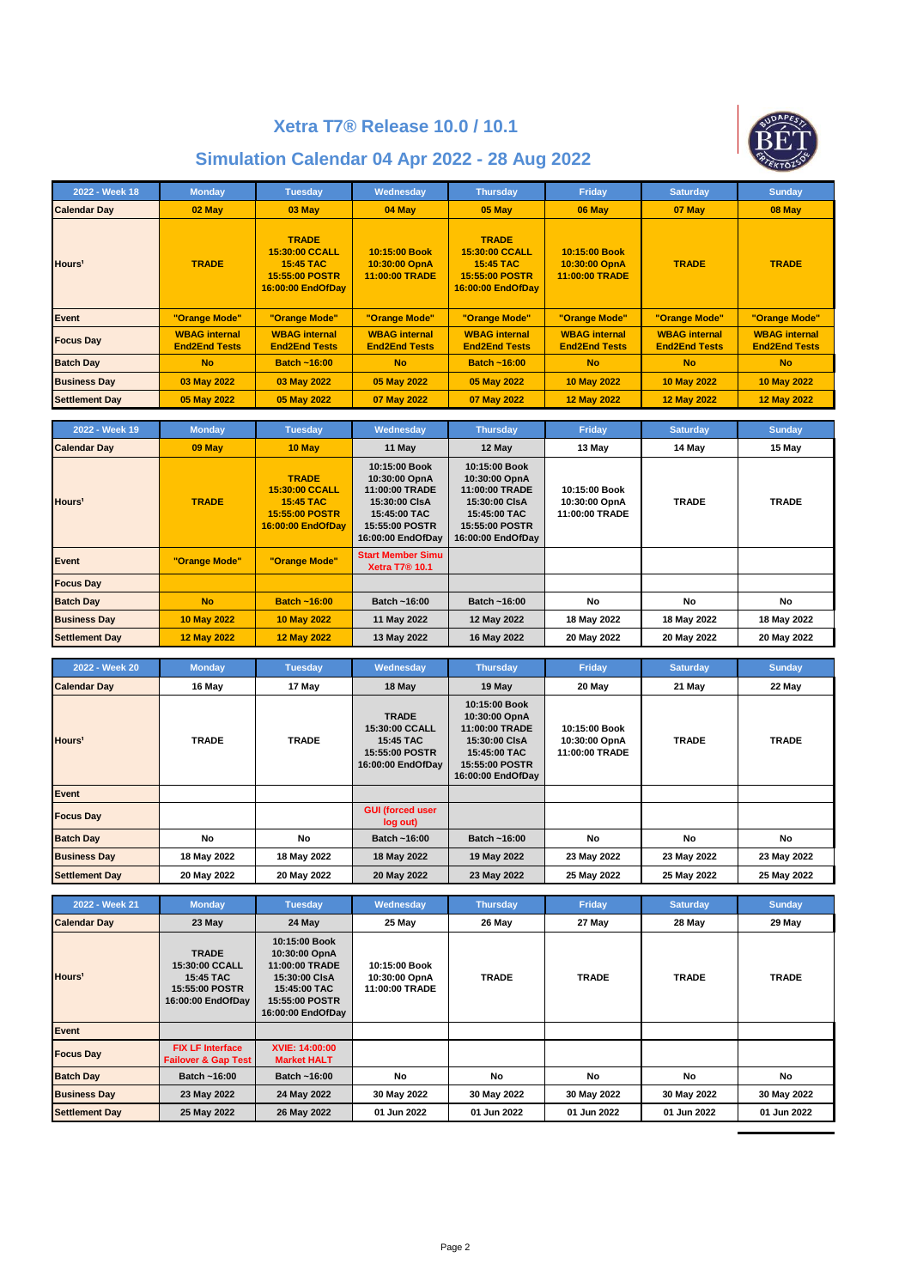

| 2022 - Week 18        | <b>Monday</b>                                | <b>Tuesday</b>                                                                            | Wednesday                                        | <b>Thursday</b>                                                                           | Friday                                           | <b>Saturday</b>                              | <b>Sunday</b>                                |
|-----------------------|----------------------------------------------|-------------------------------------------------------------------------------------------|--------------------------------------------------|-------------------------------------------------------------------------------------------|--------------------------------------------------|----------------------------------------------|----------------------------------------------|
| <b>Calendar Day</b>   | $02$ May                                     | 03 May                                                                                    | 04 May                                           | 05 May                                                                                    | 06 May                                           | 07 May                                       | 08 May                                       |
| Hours <sup>1</sup>    | <b>TRADE</b>                                 | <b>TRADE</b><br>15:30:00 CCALL<br><b>15:45 TAC</b><br>15:55:00 POSTR<br>16:00:00 EndOfDay | 10:15:00 Book<br>10:30:00 OpnA<br>11:00:00 TRADE | <b>TRADE</b><br>15:30:00 CCALL<br><b>15:45 TAC</b><br>15:55:00 POSTR<br>16:00:00 EndOfDay | 10:15:00 Book<br>10:30:00 OpnA<br>11:00:00 TRADE | <b>TRADE</b>                                 | <b>TRADE</b>                                 |
| Event                 | "Orange Mode"                                | "Orange Mode"                                                                             | "Orange Mode"                                    | "Orange Mode"                                                                             | "Orange Mode"                                    | "Orange Mode"                                | "Orange Mode"                                |
| <b>Focus Day</b>      | <b>WBAG</b> internal<br><b>End2End Tests</b> | <b>WBAG</b> internal<br><b>End2End Tests</b>                                              | <b>WBAG</b> internal<br><b>End2End Tests</b>     | <b>WBAG</b> internal<br><b>End2End Tests</b>                                              | <b>WBAG</b> internal<br><b>End2End Tests</b>     | <b>WBAG</b> internal<br><b>End2End Tests</b> | <b>WBAG</b> internal<br><b>End2End Tests</b> |
| <b>Batch Day</b>      | <b>No</b>                                    | <b>Batch ~16:00</b>                                                                       | <b>No</b>                                        | <b>Batch ~16:00</b>                                                                       | <b>No</b>                                        | <b>No</b>                                    | <b>No</b>                                    |
| <b>Business Day</b>   | 03 May 2022                                  | 03 May 2022                                                                               | 05 May 2022                                      | 05 May 2022                                                                               | 10 May 2022                                      | 10 May 2022                                  | 10 May 2022                                  |
| <b>Settlement Day</b> | 05 May 2022                                  | 05 May 2022                                                                               | 07 May 2022                                      | 07 May 2022                                                                               | 12 May 2022                                      | 12 May 2022                                  | 12 May 2022                                  |

| 2022 - Week 19        | <b>Monday</b>      | <b>Tuesday</b>                                                                            | Wednesday                                                                                                                | <b>Thursday</b>                                                                                                          | Friday                                           | <b>Saturday</b> | <b>Sunday</b> |
|-----------------------|--------------------|-------------------------------------------------------------------------------------------|--------------------------------------------------------------------------------------------------------------------------|--------------------------------------------------------------------------------------------------------------------------|--------------------------------------------------|-----------------|---------------|
| <b>Calendar Day</b>   | 09 May             | 10 May                                                                                    | 11 May                                                                                                                   | 12 May                                                                                                                   | 13 May                                           | 14 May          | 15 May        |
| Hours <sup>1</sup>    | <b>TRADE</b>       | <b>TRADE</b><br>15:30:00 CCALL<br><b>15:45 TAC</b><br>15:55:00 POSTR<br>16:00:00 EndOfDay | 10:15:00 Book<br>10:30:00 OpnA<br>11:00:00 TRADE<br>15:30:00 CIsA<br>15:45:00 TAC<br>15:55:00 POSTR<br>16:00:00 EndOfDay | 10:15:00 Book<br>10:30:00 OpnA<br>11:00:00 TRADE<br>15:30:00 CIsA<br>15:45:00 TAC<br>15:55:00 POSTR<br>16:00:00 EndOfDay | 10:15:00 Book<br>10:30:00 OpnA<br>11:00:00 TRADE | <b>TRADE</b>    | <b>TRADE</b>  |
| Event                 | "Orange Mode"      | "Orange Mode"                                                                             | <b>Start Member Simu</b><br><b>Xetra T7<sup>®</sup> 10.1</b>                                                             |                                                                                                                          |                                                  |                 |               |
| <b>Focus Day</b>      |                    |                                                                                           |                                                                                                                          |                                                                                                                          |                                                  |                 |               |
| <b>Batch Day</b>      | <b>No</b>          | <b>Batch ~16:00</b>                                                                       | Batch ~16:00                                                                                                             | Batch ~16:00                                                                                                             | No                                               | No              | No            |
| <b>Business Day</b>   | 10 May 2022        | 10 May 2022                                                                               | 11 May 2022                                                                                                              | 12 May 2022                                                                                                              | 18 May 2022                                      | 18 May 2022     | 18 May 2022   |
| <b>Settlement Day</b> | <b>12 May 2022</b> | <b>12 May 2022</b>                                                                        | 13 May 2022                                                                                                              | 16 May 2022                                                                                                              | 20 May 2022                                      | 20 May 2022     | 20 May 2022   |

| 2022 - Week 20        | <b>Monday</b> | <b>Tuesday</b> | Wednesday                                                                          | <b>Thursday</b>                                                                                                          | Friday                                           | <b>Saturday</b> | <b>Sunday</b> |
|-----------------------|---------------|----------------|------------------------------------------------------------------------------------|--------------------------------------------------------------------------------------------------------------------------|--------------------------------------------------|-----------------|---------------|
| <b>Calendar Day</b>   | 16 May        | 17 May         | 18 May                                                                             | 19 May                                                                                                                   | 20 May                                           | 21 May          | 22 May        |
| Hours <sup>1</sup>    | <b>TRADE</b>  | <b>TRADE</b>   | <b>TRADE</b><br>15:30:00 CCALL<br>15:45 TAC<br>15:55:00 POSTR<br>16:00:00 EndOfDay | 10:15:00 Book<br>10:30:00 OpnA<br>11:00:00 TRADE<br>15:30:00 CIsA<br>15:45:00 TAC<br>15:55:00 POSTR<br>16:00:00 EndOfDay | 10:15:00 Book<br>10:30:00 OpnA<br>11:00:00 TRADE | <b>TRADE</b>    | <b>TRADE</b>  |
| Event                 |               |                |                                                                                    |                                                                                                                          |                                                  |                 |               |
| <b>Focus Day</b>      |               |                | <b>GUI (forced user</b><br>log out)                                                |                                                                                                                          |                                                  |                 |               |
| <b>Batch Day</b>      | No            | No             | Batch ~16:00                                                                       | Batch ~16:00                                                                                                             | <b>No</b>                                        | <b>No</b>       | No            |
| <b>Business Day</b>   | 18 May 2022   | 18 May 2022    | 18 May 2022                                                                        | 19 May 2022                                                                                                              | 23 May 2022                                      | 23 May 2022     | 23 May 2022   |
| <b>Settlement Day</b> | 20 May 2022   | 20 May 2022    | 20 May 2022                                                                        | 23 May 2022                                                                                                              | 25 May 2022                                      | 25 May 2022     | 25 May 2022   |

| 2022 - Week 21        | <b>Monday</b>                                                                      | <b>Tuesday</b>                                                                                                                  | Wednesday                                        | <b>Thursday</b> | <b>Friday</b> | <b>Saturday</b> | <b>Sunday</b> |
|-----------------------|------------------------------------------------------------------------------------|---------------------------------------------------------------------------------------------------------------------------------|--------------------------------------------------|-----------------|---------------|-----------------|---------------|
| <b>Calendar Day</b>   | 23 May                                                                             | 24 May                                                                                                                          | 25 May                                           | 26 May          | 27 May        | 28 May          | 29 May        |
| Hours <sup>1</sup>    | <b>TRADE</b><br>15:30:00 CCALL<br>15:45 TAC<br>15:55:00 POSTR<br>16:00:00 EndOfDay | 10:15:00 Book<br>10:30:00 OpnA<br>11:00:00 TRADE<br>15:30:00 CIsA<br>15:45:00 TAC<br><b>15:55:00 POSTR</b><br>16:00:00 EndOfDay | 10:15:00 Book<br>10:30:00 OpnA<br>11:00:00 TRADE | <b>TRADE</b>    | <b>TRADE</b>  | <b>TRADE</b>    | <b>TRADE</b>  |
| Event                 |                                                                                    |                                                                                                                                 |                                                  |                 |               |                 |               |
| <b>Focus Day</b>      | <b>FIX LF Interface</b><br><b>Failover &amp; Gap Test</b>                          | XVIE: 14:00:00<br><b>Market HALT</b>                                                                                            |                                                  |                 |               |                 |               |
| <b>Batch Day</b>      | Batch ~16:00                                                                       | Batch ~16:00                                                                                                                    | No                                               | No              | <b>No</b>     | No              | No            |
| <b>Business Day</b>   | 23 May 2022                                                                        | 24 May 2022                                                                                                                     | 30 May 2022                                      | 30 May 2022     | 30 May 2022   | 30 May 2022     | 30 May 2022   |
| <b>Settlement Day</b> | 25 May 2022                                                                        | 26 May 2022                                                                                                                     | 01 Jun 2022                                      | 01 Jun 2022     | 01 Jun 2022   | 01 Jun 2022     | 01 Jun 2022   |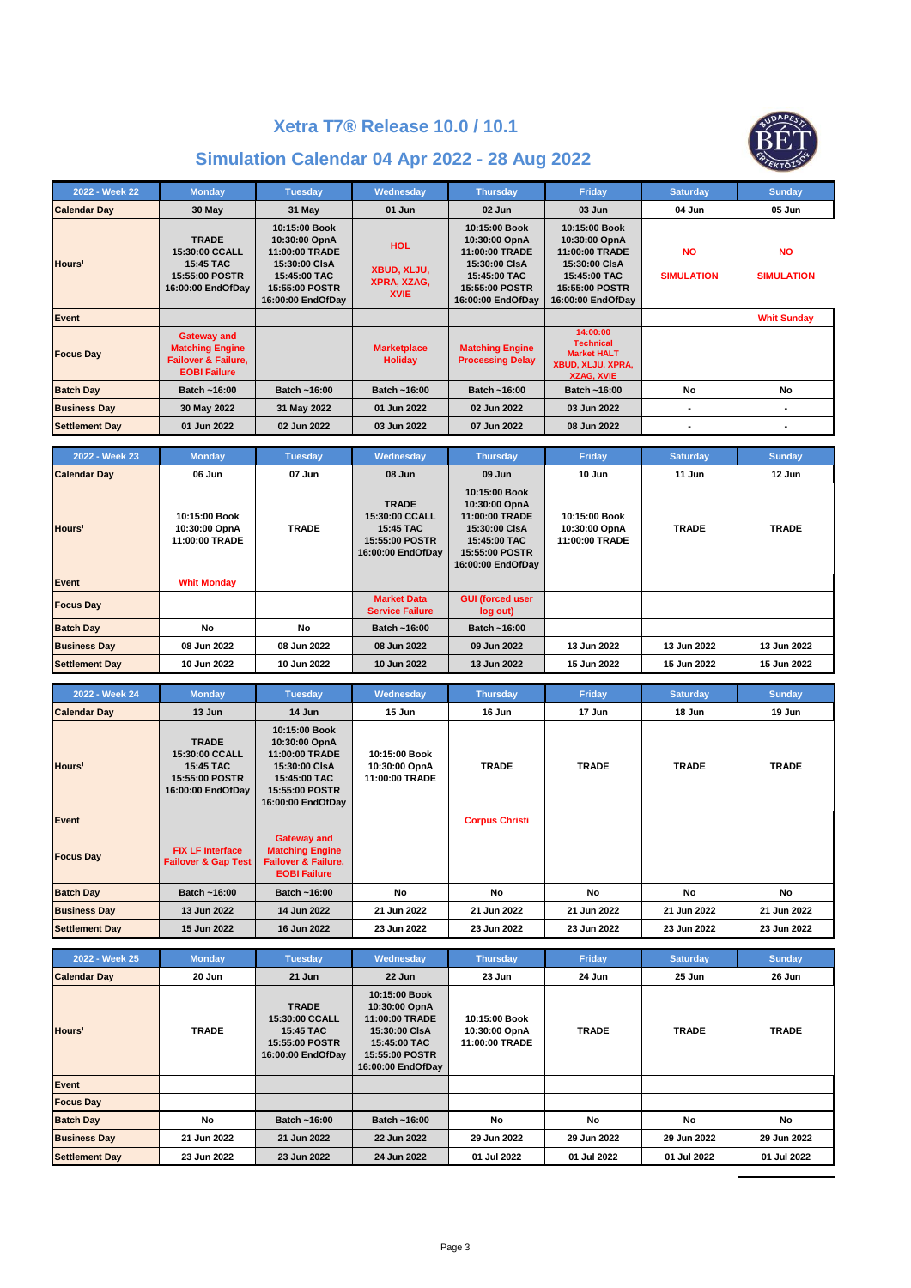

| 2022 - Week 22        | <b>Monday</b>                                                                                         | <b>Tuesday</b>                                                                                                                  | Wednesday                                               | <b>Thursday</b>                                                                                                          | Friday                                                                                                                          | <b>Saturday</b>                | <b>Sunday</b>                  |
|-----------------------|-------------------------------------------------------------------------------------------------------|---------------------------------------------------------------------------------------------------------------------------------|---------------------------------------------------------|--------------------------------------------------------------------------------------------------------------------------|---------------------------------------------------------------------------------------------------------------------------------|--------------------------------|--------------------------------|
| <b>Calendar Day</b>   | 30 May                                                                                                | 31 May                                                                                                                          | 01 Jun                                                  | 02 Jun                                                                                                                   | 03 Jun                                                                                                                          | 04 Jun                         | 05 Jun                         |
| Hours <sup>1</sup>    | <b>TRADE</b><br>15:30:00 CCALL<br>15:45 TAC<br>15:55:00 POSTR<br>16:00:00 EndOfDay                    | 10:15:00 Book<br>10:30:00 OpnA<br>11:00:00 TRADE<br>15:30:00 CIsA<br>15:45:00 TAC<br><b>15:55:00 POSTR</b><br>16:00:00 EndOfDay | <b>HOL</b><br>XBUD, XLJU,<br>XPRA, XZAG,<br><b>XVIE</b> | 10:15:00 Book<br>10:30:00 OpnA<br>11:00:00 TRADE<br>15:30:00 CIsA<br>15:45:00 TAC<br>15:55:00 POSTR<br>16:00:00 EndOfDay | 10:15:00 Book<br>10:30:00 OpnA<br>11:00:00 TRADE<br>15:30:00 CIsA<br>15:45:00 TAC<br><b>15:55:00 POSTR</b><br>16:00:00 EndOfDay | <b>NO</b><br><b>SIMULATION</b> | <b>NO</b><br><b>SIMULATION</b> |
| Event                 |                                                                                                       |                                                                                                                                 |                                                         |                                                                                                                          |                                                                                                                                 |                                | <b>Whit Sunday</b>             |
| <b>Focus Day</b>      | <b>Gateway and</b><br><b>Matching Engine</b><br><b>Failover &amp; Failure,</b><br><b>EOBI Failure</b> |                                                                                                                                 | <b>Marketplace</b><br><b>Holidav</b>                    | <b>Matching Engine</b><br><b>Processing Delay</b>                                                                        | 14:00:00<br><b>Technical</b><br><b>Market HALT</b><br>XBUD, XLJU, XPRA,<br><b>XZAG, XVIE</b>                                    |                                |                                |
| <b>Batch Day</b>      | Batch ~16:00                                                                                          | Batch ~16:00                                                                                                                    | Batch ~16:00                                            | Batch ~16:00                                                                                                             | Batch ~16:00                                                                                                                    | No                             | No                             |
| <b>Business Day</b>   | 30 May 2022                                                                                           | 31 May 2022                                                                                                                     | 01 Jun 2022                                             | 02 Jun 2022                                                                                                              | 03 Jun 2022                                                                                                                     |                                |                                |
| <b>Settlement Day</b> | 01 Jun 2022                                                                                           | 02 Jun 2022                                                                                                                     | 03 Jun 2022                                             | 07 Jun 2022                                                                                                              | 08 Jun 2022                                                                                                                     |                                |                                |

| 2022 - Week 23        | <b>Monday</b>                                    | <b>Tuesday</b> | Wednesday                                                                          | <b>Thursday</b>                                                                                                          | Friday                                           | <b>Saturday</b> | <b>Sunday</b> |
|-----------------------|--------------------------------------------------|----------------|------------------------------------------------------------------------------------|--------------------------------------------------------------------------------------------------------------------------|--------------------------------------------------|-----------------|---------------|
| <b>Calendar Day</b>   | 06 Jun                                           | 07 Jun         | 08 Jun                                                                             | 09 Jun                                                                                                                   | 10 Jun                                           | 11 Jun          | 12 Jun        |
| Hours <sup>1</sup>    | 10:15:00 Book<br>10:30:00 OpnA<br>11:00:00 TRADE | <b>TRADE</b>   | <b>TRADE</b><br>15:30:00 CCALL<br>15:45 TAC<br>15:55:00 POSTR<br>16:00:00 EndOfDay | 10:15:00 Book<br>10:30:00 OpnA<br>11:00:00 TRADE<br>15:30:00 CIsA<br>15:45:00 TAC<br>15:55:00 POSTR<br>16:00:00 EndOfDay | 10:15:00 Book<br>10:30:00 OpnA<br>11:00:00 TRADE | <b>TRADE</b>    | <b>TRADE</b>  |
| Event                 | <b>Whit Monday</b>                               |                |                                                                                    |                                                                                                                          |                                                  |                 |               |
| <b>Focus Day</b>      |                                                  |                | <b>Market Data</b><br><b>Service Failure</b>                                       | <b>GUI (forced user</b><br>log out)                                                                                      |                                                  |                 |               |
| <b>Batch Day</b>      | <b>No</b>                                        | <b>No</b>      | Batch ~16:00                                                                       | Batch ~16:00                                                                                                             |                                                  |                 |               |
| <b>Business Day</b>   | 08 Jun 2022                                      | 08 Jun 2022    | 08 Jun 2022                                                                        | 09 Jun 2022                                                                                                              | 13 Jun 2022                                      | 13 Jun 2022     | 13 Jun 2022   |
| <b>Settlement Day</b> | 10 Jun 2022                                      | 10 Jun 2022    | 10 Jun 2022                                                                        | 13 Jun 2022                                                                                                              | 15 Jun 2022                                      | 15 Jun 2022     | 15 Jun 2022   |

| 2022 - Week 24        | <b>Monday</b>                                                                      | <b>Tuesday</b>                                                                                                           | Wednesday                                        | <b>Thursday</b>       | Friday       | <b>Saturday</b> | <b>Sunday</b> |
|-----------------------|------------------------------------------------------------------------------------|--------------------------------------------------------------------------------------------------------------------------|--------------------------------------------------|-----------------------|--------------|-----------------|---------------|
| <b>Calendar Day</b>   | 13 Jun                                                                             | 14 Jun                                                                                                                   | 15 Jun                                           | 16 Jun                | 17 Jun       | 18 Jun          | 19 Jun        |
| Hours <sup>1</sup>    | <b>TRADE</b><br>15:30:00 CCALL<br>15:45 TAC<br>15:55:00 POSTR<br>16:00:00 EndOfDay | 10:15:00 Book<br>10:30:00 OpnA<br>11:00:00 TRADE<br>15:30:00 CIsA<br>15:45:00 TAC<br>15:55:00 POSTR<br>16:00:00 EndOfDay | 10:15:00 Book<br>10:30:00 OpnA<br>11:00:00 TRADE | <b>TRADE</b>          | <b>TRADE</b> | <b>TRADE</b>    | <b>TRADE</b>  |
| Event                 |                                                                                    |                                                                                                                          |                                                  | <b>Corpus Christi</b> |              |                 |               |
| <b>Focus Day</b>      | <b>FIX LF Interface</b><br><b>Failover &amp; Gap Test</b>                          | <b>Gateway and</b><br><b>Matching Engine</b><br>Failover & Failure,<br><b>EOBI Failure</b>                               |                                                  |                       |              |                 |               |
| <b>Batch Day</b>      | Batch ~16:00                                                                       | Batch ~16:00                                                                                                             | No                                               | No                    | No           | No              | No            |
| <b>Business Day</b>   | 13 Jun 2022                                                                        | 14 Jun 2022                                                                                                              | 21 Jun 2022                                      | 21 Jun 2022           | 21 Jun 2022  | 21 Jun 2022     | 21 Jun 2022   |
| <b>Settlement Day</b> | 15 Jun 2022                                                                        | 16 Jun 2022                                                                                                              | 23 Jun 2022                                      | 23 Jun 2022           | 23 Jun 2022  | 23 Jun 2022     | 23 Jun 2022   |

| 2022 - Week 25        | <b>Monday</b> | <b>Tuesday</b>                                                                     | <b>Wednesday</b>                                                                                                         | <b>Thursday</b>                                  | Friday       | <b>Saturday</b> | <b>Sunday</b> |
|-----------------------|---------------|------------------------------------------------------------------------------------|--------------------------------------------------------------------------------------------------------------------------|--------------------------------------------------|--------------|-----------------|---------------|
| <b>Calendar Day</b>   | 20 Jun        | 21 Jun                                                                             | 22 Jun                                                                                                                   | 23 Jun                                           | 24 Jun       | 25 Jun          | 26 Jun        |
| Hours <sup>1</sup>    | <b>TRADE</b>  | <b>TRADE</b><br>15:30:00 CCALL<br>15:45 TAC<br>15:55:00 POSTR<br>16:00:00 EndOfDay | 10:15:00 Book<br>10:30:00 OpnA<br>11:00:00 TRADE<br>15:30:00 CIsA<br>15:45:00 TAC<br>15:55:00 POSTR<br>16:00:00 EndOfDay | 10:15:00 Book<br>10:30:00 OpnA<br>11:00:00 TRADE | <b>TRADE</b> | <b>TRADE</b>    | <b>TRADE</b>  |
| Event                 |               |                                                                                    |                                                                                                                          |                                                  |              |                 |               |
| <b>Focus Day</b>      |               |                                                                                    |                                                                                                                          |                                                  |              |                 |               |
| <b>Batch Day</b>      | No            | Batch ~16:00                                                                       | Batch ~16:00                                                                                                             | No                                               | No           | No              | No            |
| <b>Business Day</b>   | 21 Jun 2022   | 21 Jun 2022                                                                        | 22 Jun 2022                                                                                                              | 29 Jun 2022                                      | 29 Jun 2022  | 29 Jun 2022     | 29 Jun 2022   |
| <b>Settlement Day</b> | 23 Jun 2022   | 23 Jun 2022                                                                        | 24 Jun 2022                                                                                                              | 01 Jul 2022                                      | 01 Jul 2022  | 01 Jul 2022     | 01 Jul 2022   |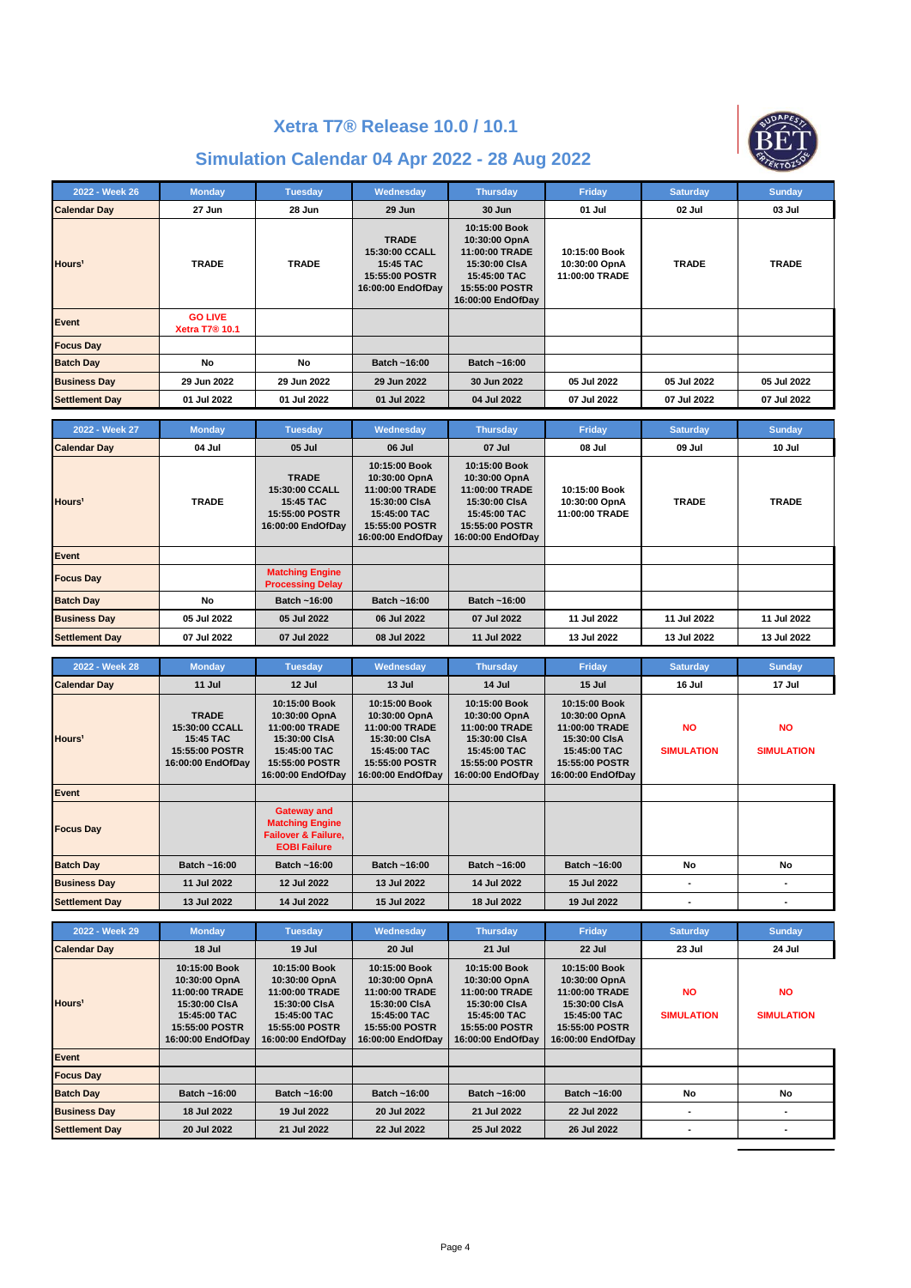

| 2022 - Week 26        | <b>Monday</b>                                      | <b>Tuesday</b> | Wednesday                                                                                 | <b>Thursday</b>                                                                                                          | Friday                                           | <b>Saturday</b> | <b>Sunday</b> |
|-----------------------|----------------------------------------------------|----------------|-------------------------------------------------------------------------------------------|--------------------------------------------------------------------------------------------------------------------------|--------------------------------------------------|-----------------|---------------|
| <b>Calendar Day</b>   | 27 Jun                                             | 28 Jun         | 29 Jun                                                                                    | 30 Jun                                                                                                                   | 01 Jul                                           | 02 Jul          | 03 Jul        |
| Hours <sup>1</sup>    | <b>TRADE</b>                                       | <b>TRADE</b>   | <b>TRADE</b><br>15:30:00 CCALL<br><b>15:45 TAC</b><br>15:55:00 POSTR<br>16:00:00 EndOfDay | 10:15:00 Book<br>10:30:00 OpnA<br>11:00:00 TRADE<br>15:30:00 CIsA<br>15:45:00 TAC<br>15:55:00 POSTR<br>16:00:00 EndOfDay | 10:15:00 Book<br>10:30:00 OpnA<br>11:00:00 TRADE | <b>TRADE</b>    | <b>TRADE</b>  |
| Event                 | <b>GO LIVE</b><br><b>Xetra T7<sup>®</sup> 10.1</b> |                |                                                                                           |                                                                                                                          |                                                  |                 |               |
| <b>Focus Day</b>      |                                                    |                |                                                                                           |                                                                                                                          |                                                  |                 |               |
| <b>Batch Day</b>      | No                                                 | No             | Batch ~16:00                                                                              | Batch ~16:00                                                                                                             |                                                  |                 |               |
| <b>Business Day</b>   | 29 Jun 2022                                        | 29 Jun 2022    | 29 Jun 2022                                                                               | 30 Jun 2022                                                                                                              | 05 Jul 2022                                      | 05 Jul 2022     | 05 Jul 2022   |
| <b>Settlement Day</b> | 01 Jul 2022                                        | 01 Jul 2022    | 01 Jul 2022                                                                               | 04 Jul 2022                                                                                                              | 07 Jul 2022                                      | 07 Jul 2022     | 07 Jul 2022   |

| 2022 - Week 27        | <b>Monday</b> | <b>Tuesday</b>                                                                     | Wednesday                                                                                                                       | <b>Thursday</b>                                                                                                                 | Friday                                           | <b>Saturday</b> | <b>Sunday</b> |
|-----------------------|---------------|------------------------------------------------------------------------------------|---------------------------------------------------------------------------------------------------------------------------------|---------------------------------------------------------------------------------------------------------------------------------|--------------------------------------------------|-----------------|---------------|
| <b>Calendar Day</b>   | 04 Jul        | 05 Jul                                                                             | 06 Jul                                                                                                                          | 07 Jul                                                                                                                          | 08 Jul                                           | 09 Jul          | 10 Jul        |
| Hours <sup>1</sup>    | <b>TRADE</b>  | <b>TRADE</b><br>15:30:00 CCALL<br>15:45 TAC<br>15:55:00 POSTR<br>16:00:00 EndOfDay | 10:15:00 Book<br>10:30:00 OpnA<br>11:00:00 TRADE<br>15:30:00 CIsA<br>15:45:00 TAC<br><b>15:55:00 POSTR</b><br>16:00:00 EndOfDay | 10:15:00 Book<br>10:30:00 OpnA<br>11:00:00 TRADE<br>15:30:00 CIsA<br>15:45:00 TAC<br><b>15:55:00 POSTR</b><br>16:00:00 EndOfDay | 10:15:00 Book<br>10:30:00 OpnA<br>11:00:00 TRADE | <b>TRADE</b>    | <b>TRADE</b>  |
| Event                 |               |                                                                                    |                                                                                                                                 |                                                                                                                                 |                                                  |                 |               |
| <b>Focus Day</b>      |               | <b>Matching Engine</b><br><b>Processing Delay</b>                                  |                                                                                                                                 |                                                                                                                                 |                                                  |                 |               |
| <b>Batch Day</b>      | No            | Batch ~16:00                                                                       | Batch ~16:00                                                                                                                    | Batch ~16:00                                                                                                                    |                                                  |                 |               |
| <b>Business Day</b>   | 05 Jul 2022   | 05 Jul 2022                                                                        | 06 Jul 2022                                                                                                                     | 07 Jul 2022                                                                                                                     | 11 Jul 2022                                      | 11 Jul 2022     | 11 Jul 2022   |
| <b>Settlement Day</b> | 07 Jul 2022   | 07 Jul 2022                                                                        | 08 Jul 2022                                                                                                                     | 11 Jul 2022                                                                                                                     | 13 Jul 2022                                      | 13 Jul 2022     | 13 Jul 2022   |

| 2022 - Week 28        | <b>Monday</b>                                                                      | <b>Tuesday</b>                                                                                                           | Wednesday                                                                                                                | <b>Thursday</b>                                                                                                          | Friday                                                                                                                          | <b>Saturday</b>                | <b>Sunday</b>                  |
|-----------------------|------------------------------------------------------------------------------------|--------------------------------------------------------------------------------------------------------------------------|--------------------------------------------------------------------------------------------------------------------------|--------------------------------------------------------------------------------------------------------------------------|---------------------------------------------------------------------------------------------------------------------------------|--------------------------------|--------------------------------|
| <b>Calendar Day</b>   | 11 Jul                                                                             | 12 Jul                                                                                                                   | 13 Jul                                                                                                                   | 14 Jul                                                                                                                   | 15 Jul                                                                                                                          | 16 Jul                         | 17 Jul                         |
| Hours <sup>1</sup>    | <b>TRADE</b><br>15:30:00 CCALL<br>15:45 TAC<br>15:55:00 POSTR<br>16:00:00 EndOfDay | 10:15:00 Book<br>10:30:00 OpnA<br>11:00:00 TRADE<br>15:30:00 CIsA<br>15:45:00 TAC<br>15:55:00 POSTR<br>16:00:00 EndOfDay | 10:15:00 Book<br>10:30:00 OpnA<br>11:00:00 TRADE<br>15:30:00 CIsA<br>15:45:00 TAC<br>15:55:00 POSTR<br>16:00:00 EndOfDay | 10:15:00 Book<br>10:30:00 OpnA<br>11:00:00 TRADE<br>15:30:00 CIsA<br>15:45:00 TAC<br>15:55:00 POSTR<br>16:00:00 EndOfDay | 10:15:00 Book<br>10:30:00 OpnA<br>11:00:00 TRADE<br>15:30:00 CIsA<br>15:45:00 TAC<br><b>15:55:00 POSTR</b><br>16:00:00 EndOfDay | <b>NO</b><br><b>SIMULATION</b> | <b>NO</b><br><b>SIMULATION</b> |
| Event                 |                                                                                    |                                                                                                                          |                                                                                                                          |                                                                                                                          |                                                                                                                                 |                                |                                |
| <b>Focus Day</b>      |                                                                                    | <b>Gateway and</b><br><b>Matching Engine</b><br><b>Failover &amp; Failure.</b><br><b>EOBI Failure</b>                    |                                                                                                                          |                                                                                                                          |                                                                                                                                 |                                |                                |
| <b>Batch Day</b>      | Batch ~16:00                                                                       | Batch ~16:00                                                                                                             | Batch ~16:00                                                                                                             | Batch ~16:00                                                                                                             | Batch ~16:00                                                                                                                    | No                             | No                             |
| <b>Business Day</b>   | 11 Jul 2022                                                                        | 12 Jul 2022                                                                                                              | 13 Jul 2022                                                                                                              | 14 Jul 2022                                                                                                              | 15 Jul 2022                                                                                                                     |                                |                                |
| <b>Settlement Day</b> | 13 Jul 2022                                                                        | 14 Jul 2022                                                                                                              | 15 Jul 2022                                                                                                              | 18 Jul 2022                                                                                                              | 19 Jul 2022                                                                                                                     |                                |                                |

| 2022 - Week 29        | <b>Monday</b>                                                                                                            | <b>Tuesday</b>                                                                                                           | Wednesday                                                                                                                | <b>Thursday</b>                                                                                                          | Friday                                                                                                                          | <b>Saturday</b>                | <b>Sunday</b>                  |
|-----------------------|--------------------------------------------------------------------------------------------------------------------------|--------------------------------------------------------------------------------------------------------------------------|--------------------------------------------------------------------------------------------------------------------------|--------------------------------------------------------------------------------------------------------------------------|---------------------------------------------------------------------------------------------------------------------------------|--------------------------------|--------------------------------|
| <b>Calendar Day</b>   | 18 Jul                                                                                                                   | 19 Jul                                                                                                                   | 20 Jul                                                                                                                   | 21 Jul                                                                                                                   | 22 Jul                                                                                                                          | 23 Jul                         | 24 Jul                         |
| Hours <sup>1</sup>    | 10:15:00 Book<br>10:30:00 OpnA<br>11:00:00 TRADE<br>15:30:00 CIsA<br>15:45:00 TAC<br>15:55:00 POSTR<br>16:00:00 EndOfDay | 10:15:00 Book<br>10:30:00 OpnA<br>11:00:00 TRADE<br>15:30:00 CIsA<br>15:45:00 TAC<br>15:55:00 POSTR<br>16:00:00 EndOfDay | 10:15:00 Book<br>10:30:00 OpnA<br>11:00:00 TRADE<br>15:30:00 CIsA<br>15:45:00 TAC<br>15:55:00 POSTR<br>16:00:00 EndOfDay | 10:15:00 Book<br>10:30:00 OpnA<br>11:00:00 TRADE<br>15:30:00 CIsA<br>15:45:00 TAC<br>15:55:00 POSTR<br>16:00:00 EndOfDay | 10:15:00 Book<br>10:30:00 OpnA<br>11:00:00 TRADE<br>15:30:00 CIsA<br>15:45:00 TAC<br><b>15:55:00 POSTR</b><br>16:00:00 EndOfDay | <b>NO</b><br><b>SIMULATION</b> | <b>NO</b><br><b>SIMULATION</b> |
| Event                 |                                                                                                                          |                                                                                                                          |                                                                                                                          |                                                                                                                          |                                                                                                                                 |                                |                                |
| <b>Focus Day</b>      |                                                                                                                          |                                                                                                                          |                                                                                                                          |                                                                                                                          |                                                                                                                                 |                                |                                |
| <b>Batch Day</b>      | Batch ~16:00                                                                                                             | Batch ~16:00                                                                                                             | Batch ~16:00                                                                                                             | Batch ~16:00                                                                                                             | Batch ~16:00                                                                                                                    | No                             | No                             |
| <b>Business Day</b>   | 18 Jul 2022                                                                                                              | 19 Jul 2022                                                                                                              | 20 Jul 2022                                                                                                              | 21 Jul 2022                                                                                                              | 22 Jul 2022                                                                                                                     |                                |                                |
| <b>Settlement Day</b> | 20 Jul 2022                                                                                                              | 21 Jul 2022                                                                                                              | 22 Jul 2022                                                                                                              | 25 Jul 2022                                                                                                              | 26 Jul 2022                                                                                                                     |                                |                                |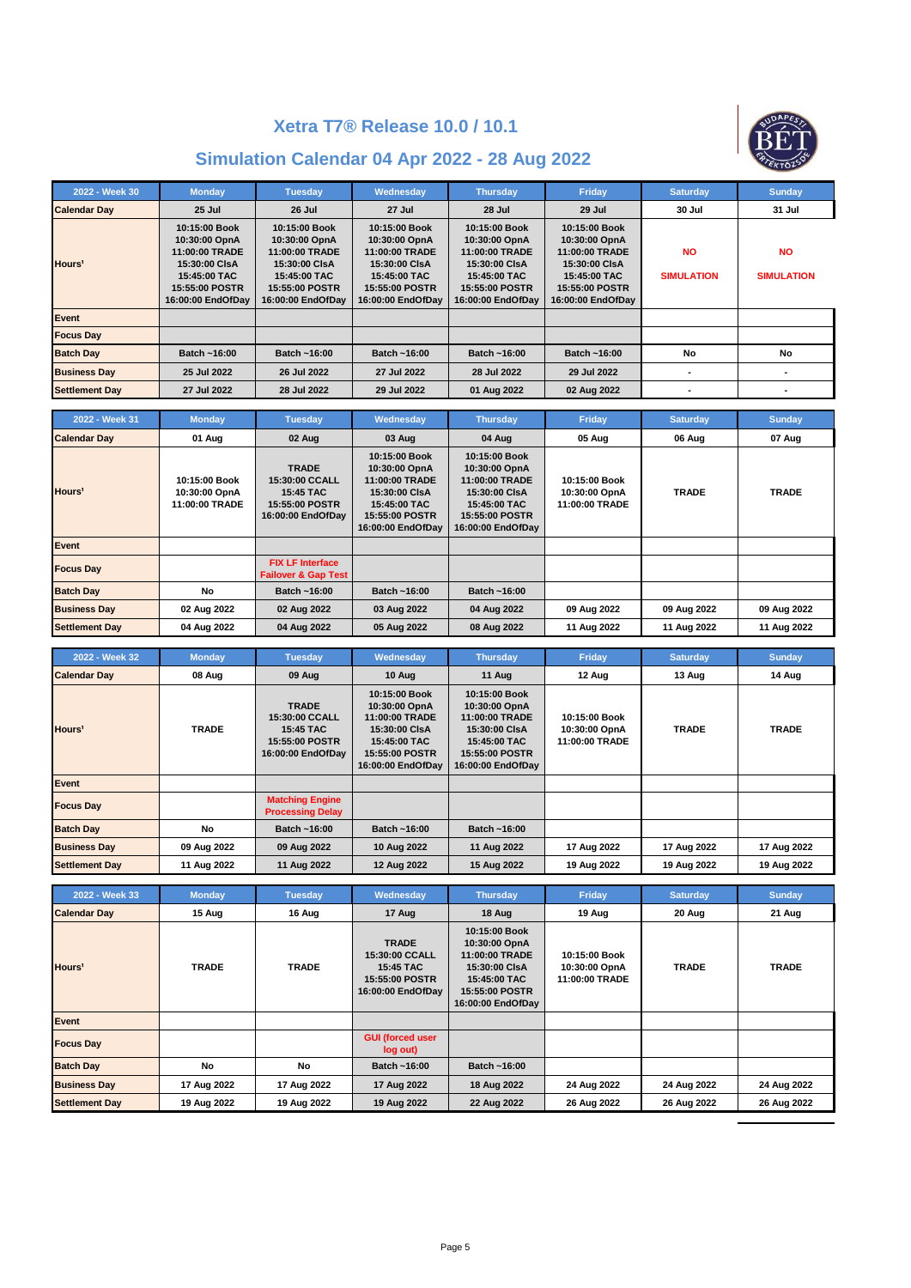

| 2022 - Week 30        | <b>Monday</b>                                                                                                            | <b>Tuesday</b>                                                                                                           | Wednesday                                                                                                                | <b>Thursday</b>                                                                                                          | Friday                                                                                                                   | <b>Saturday</b>                | <b>Sunday</b>                  |
|-----------------------|--------------------------------------------------------------------------------------------------------------------------|--------------------------------------------------------------------------------------------------------------------------|--------------------------------------------------------------------------------------------------------------------------|--------------------------------------------------------------------------------------------------------------------------|--------------------------------------------------------------------------------------------------------------------------|--------------------------------|--------------------------------|
| <b>Calendar Day</b>   | 25 Jul                                                                                                                   | 26 Jul                                                                                                                   | <b>27 Jul</b>                                                                                                            | <b>28 Jul</b>                                                                                                            | 29 Jul                                                                                                                   | 30 Jul                         | 31 Jul                         |
| Hours <sup>1</sup>    | 10:15:00 Book<br>10:30:00 OpnA<br>11:00:00 TRADE<br>15:30:00 CIsA<br>15:45:00 TAC<br>15:55:00 POSTR<br>16:00:00 EndOfDay | 10:15:00 Book<br>10:30:00 OpnA<br>11:00:00 TRADE<br>15:30:00 CIsA<br>15:45:00 TAC<br>15:55:00 POSTR<br>16:00:00 EndOfDay | 10:15:00 Book<br>10:30:00 OpnA<br>11:00:00 TRADE<br>15:30:00 CIsA<br>15:45:00 TAC<br>15:55:00 POSTR<br>16:00:00 EndOfDay | 10:15:00 Book<br>10:30:00 OpnA<br>11:00:00 TRADE<br>15:30:00 CIsA<br>15:45:00 TAC<br>15:55:00 POSTR<br>16:00:00 EndOfDay | 10:15:00 Book<br>10:30:00 OpnA<br>11:00:00 TRADE<br>15:30:00 CIsA<br>15:45:00 TAC<br>15:55:00 POSTR<br>16:00:00 EndOfDay | <b>NO</b><br><b>SIMULATION</b> | <b>NO</b><br><b>SIMULATION</b> |
| Event                 |                                                                                                                          |                                                                                                                          |                                                                                                                          |                                                                                                                          |                                                                                                                          |                                |                                |
| <b>Focus Day</b>      |                                                                                                                          |                                                                                                                          |                                                                                                                          |                                                                                                                          |                                                                                                                          |                                |                                |
| <b>Batch Dav</b>      | Batch ~16:00                                                                                                             | Batch ~16:00                                                                                                             | Batch ~16:00                                                                                                             | Batch ~16:00                                                                                                             | Batch ~16:00                                                                                                             | No                             | No                             |
| <b>Business Day</b>   | 25 Jul 2022                                                                                                              | 26 Jul 2022                                                                                                              | 27 Jul 2022                                                                                                              | 28 Jul 2022                                                                                                              | 29 Jul 2022                                                                                                              |                                |                                |
| <b>Settlement Day</b> | 27 Jul 2022                                                                                                              | 28 Jul 2022                                                                                                              | 29 Jul 2022                                                                                                              | 01 Aug 2022                                                                                                              | 02 Aug 2022                                                                                                              |                                |                                |

| 2022 - Week 31        | <b>Monday</b>                                    | <b>Tuesday</b>                                                                     | <b>Wednesday</b>                                                                                                         | <b>Thursday</b>                                                                                                          | Friday                                           | <b>Saturday</b> | <b>Sunday</b> |
|-----------------------|--------------------------------------------------|------------------------------------------------------------------------------------|--------------------------------------------------------------------------------------------------------------------------|--------------------------------------------------------------------------------------------------------------------------|--------------------------------------------------|-----------------|---------------|
| <b>Calendar Day</b>   | 01 Aug                                           | 02 Aug                                                                             | 03 Aug                                                                                                                   | 04 Aug                                                                                                                   | 05 Aug                                           | 06 Aug          | 07 Aug        |
| Hours <sup>1</sup>    | 10:15:00 Book<br>10:30:00 OpnA<br>11:00:00 TRADE | <b>TRADE</b><br>15:30:00 CCALL<br>15:45 TAC<br>15:55:00 POSTR<br>16:00:00 EndOfDay | 10:15:00 Book<br>10:30:00 OpnA<br>11:00:00 TRADE<br>15:30:00 CIsA<br>15:45:00 TAC<br>15:55:00 POSTR<br>16:00:00 EndOfDay | 10:15:00 Book<br>10:30:00 OpnA<br>11:00:00 TRADE<br>15:30:00 CIsA<br>15:45:00 TAC<br>15:55:00 POSTR<br>16:00:00 EndOfDay | 10:15:00 Book<br>10:30:00 OpnA<br>11:00:00 TRADE | <b>TRADE</b>    | <b>TRADE</b>  |
| Event                 |                                                  |                                                                                    |                                                                                                                          |                                                                                                                          |                                                  |                 |               |
| <b>Focus Day</b>      |                                                  | <b>FIX LF Interface</b><br><b>Failover &amp; Gap Test</b>                          |                                                                                                                          |                                                                                                                          |                                                  |                 |               |
| <b>Batch Day</b>      | No                                               | Batch ~16:00                                                                       | Batch ~16:00                                                                                                             | Batch ~16:00                                                                                                             |                                                  |                 |               |
| <b>Business Dav</b>   | 02 Aug 2022                                      | 02 Aug 2022                                                                        | 03 Aug 2022                                                                                                              | 04 Aug 2022                                                                                                              | 09 Aug 2022                                      | 09 Aug 2022     | 09 Aug 2022   |
| <b>Settlement Day</b> | 04 Aug 2022                                      | 04 Aug 2022                                                                        | 05 Aug 2022                                                                                                              | 08 Aug 2022                                                                                                              | 11 Aug 2022                                      | 11 Aug 2022     | 11 Aug 2022   |

| 2022 - Week 32        | <b>Monday</b> | <b>Tuesday</b>                                                                            | Wednesday                                                                                                                | <b>Thursday</b>                                                                                                          | Friday                                           | <b>Saturday</b> | <b>Sunday</b> |
|-----------------------|---------------|-------------------------------------------------------------------------------------------|--------------------------------------------------------------------------------------------------------------------------|--------------------------------------------------------------------------------------------------------------------------|--------------------------------------------------|-----------------|---------------|
| <b>Calendar Dav</b>   | 08 Aug        | 09 Aug                                                                                    | 10 Aug                                                                                                                   | 11 Aug                                                                                                                   | 12 Aug                                           | 13 Aug          | 14 Aug        |
| Hours <sup>1</sup>    | <b>TRADE</b>  | <b>TRADE</b><br>15:30:00 CCALL<br>15:45 TAC<br><b>15:55:00 POSTR</b><br>16:00:00 EndOfDay | 10:15:00 Book<br>10:30:00 OpnA<br>11:00:00 TRADE<br>15:30:00 CIsA<br>15:45:00 TAC<br>15:55:00 POSTR<br>16:00:00 EndOfDay | 10:15:00 Book<br>10:30:00 OpnA<br>11:00:00 TRADE<br>15:30:00 CIsA<br>15:45:00 TAC<br>15:55:00 POSTR<br>16:00:00 EndOfDay | 10:15:00 Book<br>10:30:00 OpnA<br>11:00:00 TRADE | <b>TRADE</b>    | <b>TRADE</b>  |
| Event                 |               |                                                                                           |                                                                                                                          |                                                                                                                          |                                                  |                 |               |
| <b>Focus Day</b>      |               | <b>Matching Engine</b><br><b>Processing Delay</b>                                         |                                                                                                                          |                                                                                                                          |                                                  |                 |               |
| <b>Batch Day</b>      | No            | Batch ~16:00                                                                              | Batch ~16:00                                                                                                             | Batch ~16:00                                                                                                             |                                                  |                 |               |
| <b>Business Day</b>   | 09 Aug 2022   | 09 Aug 2022                                                                               | 10 Aug 2022                                                                                                              | 11 Aug 2022                                                                                                              | 17 Aug 2022                                      | 17 Aug 2022     | 17 Aug 2022   |
| <b>Settlement Day</b> | 11 Aug 2022   | 11 Aug 2022                                                                               | 12 Aug 2022                                                                                                              | 15 Aug 2022                                                                                                              | 19 Aug 2022                                      | 19 Aug 2022     | 19 Aug 2022   |

| 2022 - Week 33        | <b>Monday</b> | <b>Tuesday</b> | Wednesday                                                                          | <b>Thursday</b>                                                                                                          | Friday                                           | <b>Saturday</b> | <b>Sunday</b> |
|-----------------------|---------------|----------------|------------------------------------------------------------------------------------|--------------------------------------------------------------------------------------------------------------------------|--------------------------------------------------|-----------------|---------------|
| <b>Calendar Day</b>   | 15 Aug        | 16 Aug         | 17 Aug                                                                             | 18 Aug                                                                                                                   | 19 Aug                                           | 20 Aug          | 21 Aug        |
| Hours <sup>1</sup>    | <b>TRADE</b>  | <b>TRADE</b>   | <b>TRADE</b><br>15:30:00 CCALL<br>15:45 TAC<br>15:55:00 POSTR<br>16:00:00 EndOfDay | 10:15:00 Book<br>10:30:00 OpnA<br>11:00:00 TRADE<br>15:30:00 CIsA<br>15:45:00 TAC<br>15:55:00 POSTR<br>16:00:00 EndOfDay | 10:15:00 Book<br>10:30:00 OpnA<br>11:00:00 TRADE | <b>TRADE</b>    | <b>TRADE</b>  |
| Event                 |               |                |                                                                                    |                                                                                                                          |                                                  |                 |               |
| <b>Focus Day</b>      |               |                | <b>GUI (forced user</b><br>log out)                                                |                                                                                                                          |                                                  |                 |               |
| <b>Batch Day</b>      | No            | No             | Batch ~16:00                                                                       | Batch ~16:00                                                                                                             |                                                  |                 |               |
| <b>Business Day</b>   | 17 Aug 2022   | 17 Aug 2022    | 17 Aug 2022                                                                        | 18 Aug 2022                                                                                                              | 24 Aug 2022                                      | 24 Aug 2022     | 24 Aug 2022   |
| <b>Settlement Day</b> | 19 Aug 2022   | 19 Aug 2022    | 19 Aug 2022                                                                        | 22 Aug 2022                                                                                                              | 26 Aug 2022                                      | 26 Aug 2022     | 26 Aug 2022   |